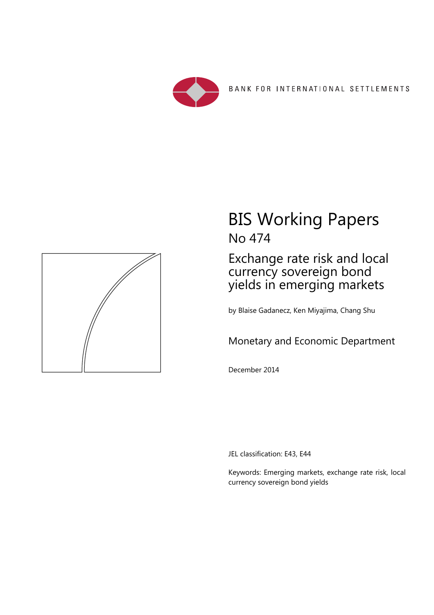



# BIS Working Papers No 474

Exchange rate risk and local currency sovereign bond yields in emerging markets

by Blaise Gadanecz, Ken Miyajima, Chang Shu

Monetary and Economic Department

December 2014

JEL classification: E43, E44

Keywords: Emerging markets, exchange rate risk, local currency sovereign bond yields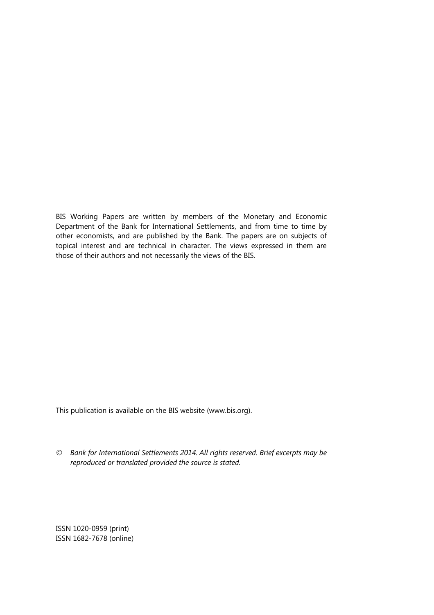BIS Working Papers are written by members of the Monetary and Economic Department of the Bank for International Settlements, and from time to time by other economists, and are published by the Bank. The papers are on subjects of topical interest and are technical in character. The views expressed in them are those of their authors and not necessarily the views of the BIS.

This publication is available on the BIS website (www.bis.org).

*© Bank for International Settlements 2014. All rights reserved. Brief excerpts may be reproduced or translated provided the source is stated.* 

ISSN 1020-0959 (print) ISSN 1682-7678 (online)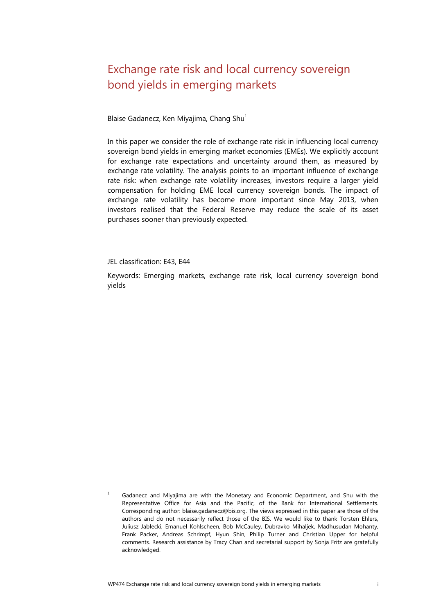## <span id="page-2-1"></span>Exchange rate risk and local currency sovereign bond yields in emerging markets

Blaise Gadanecz, Ken Miyajima, Chang Shu<sup>[1](#page-2-0)</sup>

In this paper we consider the role of exchange rate risk in influencing local currency sovereign bond yields in emerging market economies (EMEs). We explicitly account for exchange rate expectations and uncertainty around them, as measured by exchange rate volatility. The analysis points to an important influence of exchange rate risk: when exchange rate volatility increases, investors require a larger yield compensation for holding EME local currency sovereign bonds. The impact of exchange rate volatility has become more important since May 2013, when investors realised that the Federal Reserve may reduce the scale of its asset purchases sooner than previously expected.

JEL classification: E43, E44

Keywords: Emerging markets, exchange rate risk, local currency sovereign bond yields

<span id="page-2-0"></span>1 Gadanecz and Miyajima are with the Monetary and Economic Department, and Shu with the Representative Office for Asia and the Pacific, of the Bank for International Settlements. Corresponding author: blaise.gadanecz@bis.org. The views expressed in this paper are those of the authors and do not necessarily reflect those of the BIS. We would like to thank Torsten Ehlers, Juliusz Jabłecki, Emanuel Kohlscheen, Bob McCauley, Dubravko Mihaljek, Madhusudan Mohanty, Frank Packer, Andreas Schrimpf, Hyun Shin, Philip Turner and Christian Upper for helpful comments. Research assistance by Tracy Chan and secretarial support by Sonja Fritz are gratefully acknowledged.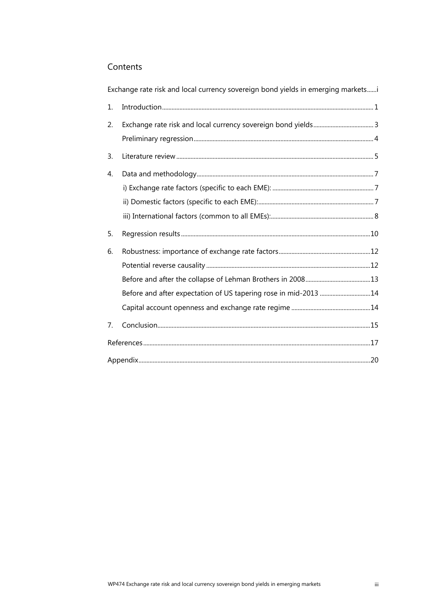## Contents

|    | Tate Tion and Total carrency boyercity it bond yields in children and mances |  |
|----|------------------------------------------------------------------------------|--|
| 1. |                                                                              |  |
| 2. |                                                                              |  |
|    |                                                                              |  |
| 3. |                                                                              |  |
| 4. |                                                                              |  |
|    |                                                                              |  |
|    |                                                                              |  |
|    |                                                                              |  |
| 5. |                                                                              |  |
| 6. |                                                                              |  |
|    |                                                                              |  |
|    |                                                                              |  |
|    | Before and after expectation of US tapering rose in mid-2013 14              |  |
|    |                                                                              |  |
| 7. |                                                                              |  |
|    |                                                                              |  |
|    |                                                                              |  |

Exchange rate risk and local currency sovereign bond vields in emerging markets......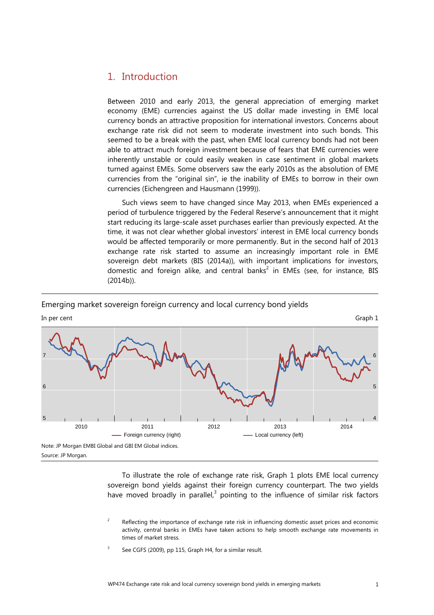## <span id="page-4-0"></span>1. Introduction

Between 2010 and early 2013, the general appreciation of emerging market economy (EME) currencies against the US dollar made investing in EME local currency bonds an attractive proposition for international investors. Concerns about exchange rate risk did not seem to moderate investment into such bonds. This seemed to be a break with the past, when EME local currency bonds had not been able to attract much foreign investment because of fears that EME currencies were inherently unstable or could easily weaken in case sentiment in global markets turned against EMEs. Some observers saw the early 2010s as the absolution of EME currencies from the "original sin", ie the inability of EMEs to borrow in their own currencies (Eichengreen and Hausmann (1999)).

Such views seem to have changed since May 2013, when EMEs experienced a period of turbulence triggered by the Federal Reserve's announcement that it might start reducing its large-scale asset purchases earlier than previously expected. At the time, it was not clear whether global investors' interest in EME local currency bonds would be affected temporarily or more permanently. But in the second half of 2013 exchange rate risk started to assume an increasingly important role in EME sovereign debt markets (BIS (2014a)), with important implications for investors, domestic and foreign alike, and central banks<sup>2</sup> in EMEs (see, for instance, BIS (2014b)).



#### Emerging market sovereign foreign currency and local currency bond yields

To illustrate the role of exchange rate risk, Graph 1 plots EME local currency sovereign bond yields against their foreign currency counterpart. The two yields have moved broadly in parallel, $3$  pointing to the influence of similar risk factors

- <span id="page-4-2"></span>2 Reflecting the importance of exchange rate risk in influencing domestic asset prices and economic activity, central banks in EMEs have taken actions to help smooth exchange rate movements in times of market stress.
- <span id="page-4-1"></span>3 See CGFS (2009), pp 115, Graph H4, for a similar result.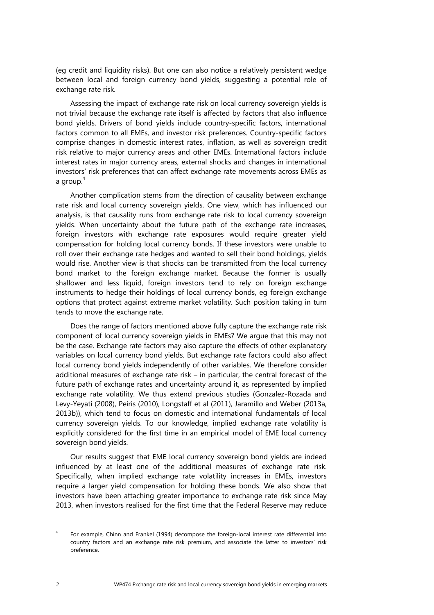(eg credit and liquidity risks). But one can also notice a relatively persistent wedge between local and foreign currency bond yields, suggesting a potential role of exchange rate risk.

Assessing the impact of exchange rate risk on local currency sovereign yields is not trivial because the exchange rate itself is affected by factors that also influence bond yields. Drivers of bond yields include country-specific factors, international factors common to all EMEs, and investor risk preferences. Country-specific factors comprise changes in domestic interest rates, inflation, as well as sovereign credit risk relative to major currency areas and other EMEs. International factors include interest rates in major currency areas, external shocks and changes in international investors' risk preferences that can affect exchange rate movements across EMEs as a group.<sup>[4](#page-5-0)</sup>

Another complication stems from the direction of causality between exchange rate risk and local currency sovereign yields. One view, which has influenced our analysis, is that causality runs from exchange rate risk to local currency sovereign yields. When uncertainty about the future path of the exchange rate increases, foreign investors with exchange rate exposures would require greater yield compensation for holding local currency bonds. If these investors were unable to roll over their exchange rate hedges and wanted to sell their bond holdings, yields would rise. Another view is that shocks can be transmitted from the local currency bond market to the foreign exchange market. Because the former is usually shallower and less liquid, foreign investors tend to rely on foreign exchange instruments to hedge their holdings of local currency bonds, eg foreign exchange options that protect against extreme market volatility. Such position taking in turn tends to move the exchange rate.

Does the range of factors mentioned above fully capture the exchange rate risk component of local currency sovereign yields in EMEs? We argue that this may not be the case. Exchange rate factors may also capture the effects of other explanatory variables on local currency bond yields. But exchange rate factors could also affect local currency bond yields independently of other variables. We therefore consider additional measures of exchange rate risk – in particular, the central forecast of the future path of exchange rates and uncertainty around it, as represented by implied exchange rate volatility. We thus extend previous studies (Gonzalez-Rozada and Levy-Yeyati (2008), Peiris (2010), Longstaff et al (2011), Jaramillo and Weber (2013a, 2013b)), which tend to focus on domestic and international fundamentals of local currency sovereign yields. To our knowledge, implied exchange rate volatility is explicitly considered for the first time in an empirical model of EME local currency sovereign bond yields.

Our results suggest that EME local currency sovereign bond yields are indeed influenced by at least one of the additional measures of exchange rate risk. Specifically, when implied exchange rate volatility increases in EMEs, investors require a larger yield compensation for holding these bonds. We also show that investors have been attaching greater importance to exchange rate risk since May 2013, when investors realised for the first time that the Federal Reserve may reduce

<span id="page-5-0"></span><sup>4</sup> For example, Chinn and Frankel (1994) decompose the foreign-local interest rate differential into country factors and an exchange rate risk premium, and associate the latter to investors' risk preference.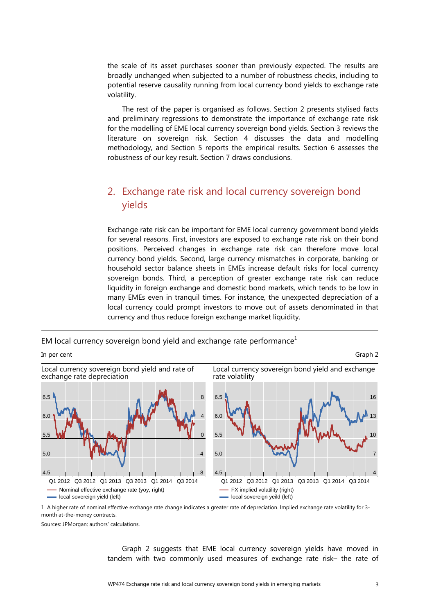the scale of its asset purchases sooner than previously expected. The results are broadly unchanged when subjected to a number of robustness checks, including to potential reserve causality running from local currency bond yields to exchange rate volatility.

The rest of the paper is organised as follows. Section 2 presents stylised facts and preliminary regressions to demonstrate the importance of exchange rate risk for the modelling of EME local currency sovereign bond yields. Section 3 reviews the literature on sovereign risk. Section 4 discusses the data and modelling methodology, and Section 5 reports the empirical results. Section 6 assesses the robustness of our key result. Section 7 draws conclusions.

## <span id="page-6-0"></span>2. Exchange rate risk and local currency sovereign bond yields

Exchange rate risk can be important for EME local currency government bond yields for several reasons. First, investors are exposed to exchange rate risk on their bond positions. Perceived changes in exchange rate risk can therefore move local currency bond yields. Second, large currency mismatches in corporate, banking or household sector balance sheets in EMEs increase default risks for local currency sovereign bonds. Third, a perception of greater exchange rate risk can reduce liquidity in foreign exchange and domestic bond markets, which tends to be low in many EMEs even in tranquil times. For instance, the unexpected depreciation of a local currency could prompt investors to move out of assets denominated in that currency and thus reduce foreign exchange market liquidity.

EM local currency sovereign bond yield and exchange rate performance $<sup>1</sup>$ </sup>



Sources: JPMorgan; authors' calculations.

Graph 2 suggests that EME local currency sovereign yields have moved in tandem with two commonly used measures of exchange rate risk– the rate of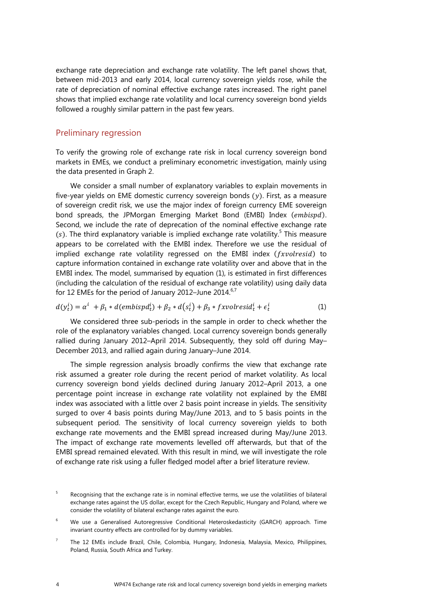exchange rate depreciation and exchange rate volatility. The left panel shows that, between mid-2013 and early 2014, local currency sovereign yields rose, while the rate of depreciation of nominal effective exchange rates increased. The right panel shows that implied exchange rate volatility and local currency sovereign bond yields followed a roughly similar pattern in the past few years.

#### <span id="page-7-0"></span>Preliminary regression

To verify the growing role of exchange rate risk in local currency sovereign bond markets in EMEs, we conduct a preliminary econometric investigation, mainly using the data presented in Graph 2.

We consider a small number of explanatory variables to explain movements in five-year yields on EME domestic currency sovereign bonds  $(y)$ . First, as a measure of sovereign credit risk, we use the major index of foreign currency EME sovereign bond spreads, the JPMorgan Emerging Market Bond (EMBI) Index (embispd). Second, we include the rate of deprecation of the nominal effective exchange rate  $(s)$ . The third explanatory variable is implied exchange rate volatility.<sup>[5](#page-7-3)</sup> This measure appears to be correlated with the EMBI index. Therefore we use the residual of implied exchange rate volatility regressed on the EMBI index  $(fxvolresid)$  to capture information contained in exchange rate volatility over and above that in the EMBI index. The model, summarised by equation (1), is estimated in first differences (including the calculation of the residual of exchange rate volatility) using daily data for 12 EMEs for the period of January 2012–June 2014.<sup>[6,](#page-7-2)[7](#page-7-1)</sup>

$$
d(y_t^i) = \alpha^i + \beta_1 * d(embispd_t^i) + \beta_2 * d(s_t^i) + \beta_3 * fxvolresid_t^i + \epsilon_t^i
$$
 (1)

We considered three sub-periods in the sample in order to check whether the role of the explanatory variables changed. Local currency sovereign bonds generally rallied during January 2012–April 2014. Subsequently, they sold off during May– December 2013, and rallied again during January–June 2014.

The simple regression analysis broadly confirms the view that exchange rate risk assumed a greater role during the recent period of market volatility. As local currency sovereign bond yields declined during January 2012–April 2013, a one percentage point increase in exchange rate volatility not explained by the EMBI index was associated with a little over 2 basis point increase in yields. The sensitivity surged to over 4 basis points during May/June 2013, and to 5 basis points in the subsequent period. The sensitivity of local currency sovereign yields to both exchange rate movements and the EMBI spread increased during May/June 2013. The impact of exchange rate movements levelled off afterwards, but that of the EMBI spread remained elevated. With this result in mind, we will investigate the role of exchange rate risk using a fuller fledged model after a brief literature review.

<span id="page-7-3"></span><sup>5</sup> Recognising that the exchange rate is in nominal effective terms, we use the volatilities of bilateral exchange rates against the US dollar, except for the Czech Republic, Hungary and Poland, where we consider the volatility of bilateral exchange rates against the euro.

<span id="page-7-2"></span><sup>6</sup> We use a Generalised Autoregressive Conditional Heteroskedasticity (GARCH) approach. Time invariant country effects are controlled for by dummy variables.

<span id="page-7-1"></span><sup>7</sup> The 12 EMEs include Brazil, Chile, Colombia, Hungary, Indonesia, Malaysia, Mexico, Philippines, Poland, Russia, South Africa and Turkey.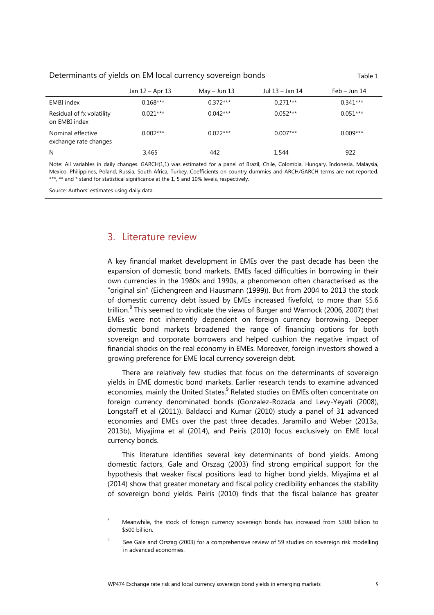| Determinants of yields on EM local currency sovereign bonds<br>Table 1 |                                                      |            |            |            |  |  |  |  |
|------------------------------------------------------------------------|------------------------------------------------------|------------|------------|------------|--|--|--|--|
|                                                                        | Jul 13 – Jan 14<br>Jan 12 – Apr 13<br>$May - Jun 13$ |            |            |            |  |  |  |  |
| <b>EMBI</b> index                                                      | $0.168***$                                           | $0.372***$ | $0.271***$ | $0.341***$ |  |  |  |  |
| Residual of fx volatility<br>on EMBI index                             | $0.021***$                                           | $0.042***$ | $0.052***$ | $0.051***$ |  |  |  |  |
| Nominal effective<br>exchange rate changes                             | $0.002***$                                           | $0.022***$ | $0.007***$ | $0.009***$ |  |  |  |  |
| N                                                                      | 3,465                                                | 442        | 1,544      | 922        |  |  |  |  |
|                                                                        |                                                      | .          |            |            |  |  |  |  |

Note: All variables in daily changes. GARCH(1,1) was estimated for a panel of Brazil, Chile, Colombia, Hungary, Indonesia, Malaysia, Mexico, Philippines, Poland, Russia, South Africa, Turkey. Coefficients on country dummies and ARCH/GARCH terms are not reported. \*\*\*, \*\* and \* stand for statistical significance at the 1, 5 and 10% levels, respectively.

Source: Authors' estimates using daily data.

## <span id="page-8-0"></span>3. Literature review

A key financial market development in EMEs over the past decade has been the expansion of domestic bond markets. EMEs faced difficulties in borrowing in their own currencies in the 1980s and 1990s, a phenomenon often characterised as the "original sin" (Eichengreen and Hausmann (1999)). But from 2004 to 2013 the stock of domestic currency debt issued by EMEs increased fivefold, to more than \$5.6 trillion.<sup>[8](#page-8-2)</sup> This seemed to vindicate the views of Burger and Warnock (2006, 2007) that EMEs were not inherently dependent on foreign currency borrowing. Deeper domestic bond markets broadened the range of financing options for both sovereign and corporate borrowers and helped cushion the negative impact of financial shocks on the real economy in EMEs. Moreover, foreign investors showed a growing preference for EME local currency sovereign debt.

There are relatively few studies that focus on the determinants of sovereign yields in EME domestic bond markets. Earlier research tends to examine advanced economies, mainly the United States.<sup>9</sup> [R](#page-8-1)elated studies on EMEs often concentrate on foreign currency denominated bonds (Gonzalez-Rozada and Levy-Yeyati (2008), Longstaff et al (2011)). Baldacci and Kumar (2010) study a panel of 31 advanced economies and EMEs over the past three decades. Jaramillo and Weber (2013a, 2013b), Miyajima et al (2014), and Peiris (2010) focus exclusively on EME local currency bonds.

This literature identifies several key determinants of bond yields. Among domestic factors, Gale and Orszag (2003) find strong empirical support for the hypothesis that weaker fiscal positions lead to higher bond yields. Miyajima et al (2014) show that greater monetary and fiscal policy credibility enhances the stability of sovereign bond yields. Peiris (2010) finds that the fiscal balance has greater

<span id="page-8-2"></span><sup>8</sup> Meanwhile, the stock of foreign currency sovereign bonds has increased from \$300 billion to \$500 billion.

<span id="page-8-1"></span><sup>9</sup> See Gale and Orszag (2003) for a comprehensive review of 59 studies on sovereign risk modelling in advanced economies.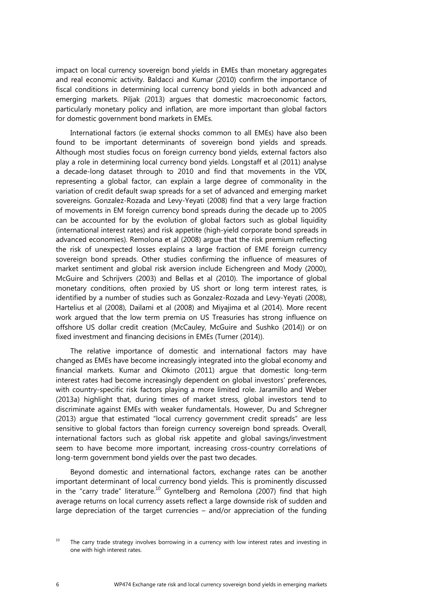impact on local currency sovereign bond yields in EMEs than monetary aggregates and real economic activity. Baldacci and Kumar (2010) confirm the importance of fiscal conditions in determining local currency bond yields in both advanced and emerging markets. Piljak (2013) argues that domestic macroeconomic factors, particularly monetary policy and inflation, are more important than global factors for domestic government bond markets in EMEs.

International factors (ie external shocks common to all EMEs) have also been found to be important determinants of sovereign bond yields and spreads. Although most studies focus on foreign currency bond yields, external factors also play a role in determining local currency bond yields. Longstaff et al (2011) analyse a decade-long dataset through to 2010 and find that movements in the VIX, representing a global factor, can explain a large degree of commonality in the variation of credit default swap spreads for a set of advanced and emerging market sovereigns. Gonzalez-Rozada and Levy-Yeyati (2008) find that a very large fraction of movements in EM foreign currency bond spreads during the decade up to 2005 can be accounted for by the evolution of global factors such as global liquidity (international interest rates) and risk appetite (high-yield corporate bond spreads in advanced economies). Remolona et al (2008) argue that the risk premium reflecting the risk of unexpected losses explains a large fraction of EME foreign currency sovereign bond spreads. Other studies confirming the influence of measures of market sentiment and global risk aversion include Eichengreen and Mody (2000), McGuire and Schrijvers (2003) and Bellas et al (2010). The importance of global monetary conditions, often proxied by US short or long term interest rates, is identified by a number of studies such as Gonzalez-Rozada and Levy-Yeyati (2008), Hartelius et al (2008), Dailami et al (2008) and Miyajima et al (2014). More recent work argued that the low term premia on US Treasuries has strong influence on offshore US dollar credit creation (McCauley, McGuire and Sushko (2014)) or on fixed investment and financing decisions in EMEs (Turner (2014)).

The relative importance of domestic and international factors may have changed as EMEs have become increasingly integrated into the global economy and financial markets. Kumar and Okimoto (2011) argue that domestic long-term interest rates had become increasingly dependent on global investors' preferences, with country-specific risk factors playing a more limited role. Jaramillo and Weber (2013a) highlight that, during times of market stress, global investors tend to discriminate against EMEs with weaker fundamentals. However, Du and Schregner (2013) argue that estimated "local currency government credit spreads" are less sensitive to global factors than foreign currency sovereign bond spreads. Overall, international factors such as global risk appetite and global savings/investment seem to have become more important, increasing cross-country correlations of long-term government bond yields over the past two decades.

Beyond domestic and international factors, exchange rates can be another important determinant of local currency bond yields. This is prominently discussed in the "carry trade" literature.<sup>10</sup> Gyntelberg and Remolona (2007) find that high average returns on local currency assets reflect a large downside risk of sudden and large depreciation of the target currencies – and/or appreciation of the funding

<span id="page-9-0"></span> $10$  The carry trade strategy involves borrowing in a currency with low interest rates and investing in one with high interest rates.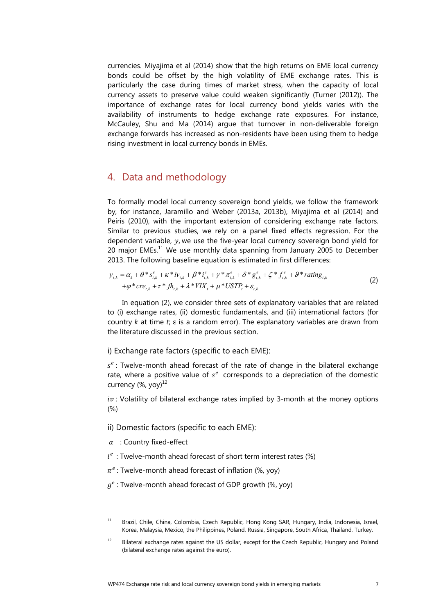currencies. Miyajima et al (2014) show that the high returns on EME local currency bonds could be offset by the high volatility of EME exchange rates. This is particularly the case during times of market stress, when the capacity of local currency assets to preserve value could weaken significantly (Turner (2012)). The importance of exchange rates for local currency bond yields varies with the availability of instruments to hedge exchange rate exposures. For instance, McCauley, Shu and Ma (2014) argue that turnover in non-deliverable foreign exchange forwards has increased as non-residents have been using them to hedge rising investment in local currency bonds in EMEs.

## <span id="page-10-2"></span>4. Data and methodology

To formally model local currency sovereign bond yields, we follow the framework by, for instance, Jaramillo and Weber (2013a, 2013b), Miyajima et al (2014) and Peiris (2010), with the important extension of considering exchange rate factors. Similar to previous studies, we rely on a panel fixed effects regression. For the dependent variable,  $y$ , we use the five-year local currency sovereign bond yield for 20 major  $EMEs.<sup>11</sup>$  We use monthly data spanning from January 2005 to December 2013. The following baseline equation is estimated in first differences:

$$
y_{t,k} = \alpha_k + \theta^* s_{t,k}^e + \kappa^* i v_{t,k} + \beta^* i_{t,k}^e + \gamma^* \pi_{t,k}^e + \delta^* g_{t,k}^e + \zeta^* f_{t,k}^e + \theta^* \text{rating}_{t,k} + \varphi^* c r e_{t,k} + \tau^* f h_{t,k} + \lambda^* V I X_t + \mu^* \text{USTP}_t + \varepsilon_{t,k}
$$
\n(2)

In equation (2), we consider three sets of explanatory variables that are related to (i) exchange rates, (ii) domestic fundamentals, and (iii) international factors (for country *k* at time *t*; ε is a random error). The explanatory variables are drawn from the literature discussed in the previous section.

<span id="page-10-1"></span>i) Exchange rate factors (specific to each EME):

 $s^e$ : Twelve-month ahead forecast of the rate of change in the bilateral exchange rate, where a positive value of  $s^e$  corresponds to a depreciation of the domestic currency  $(\%$ , yoy)<sup>[12](#page-10-3)</sup>

 $iv:$  Volatility of bilateral exchange rates implied by 3-month at the money options (%)

<span id="page-10-0"></span>ii) Domestic factors (specific to each EME):

- $\alpha$  : Country fixed-effect
- $i^e$ : Twelve-month ahead forecast of short term interest rates (%)
- $\pi^e$ : Twelve-month ahead forecast of inflation (%, yoy)
- $q^e$ : Twelve-month ahead forecast of GDP growth (%, yoy)

<span id="page-10-4"></span><sup>&</sup>lt;sup>11</sup> Brazil, Chile, China, Colombia, Czech Republic, Hong Kong SAR, Hungary, India, Indonesia, Israel, Korea, Malaysia, Mexico, the Philippines, Poland, Russia, Singapore, South Africa, Thailand, Turkey.

<span id="page-10-3"></span><sup>&</sup>lt;sup>12</sup> Bilateral exchange rates against the US dollar, except for the Czech Republic, Hungary and Poland (bilateral exchange rates against the euro).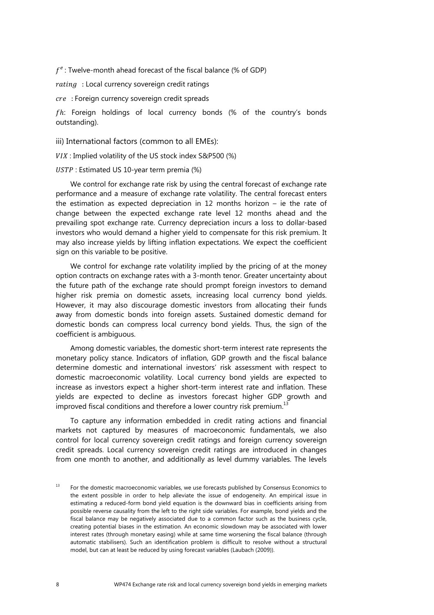$f^e$ : Twelve-month ahead forecast of the fiscal balance (% of GDP)

 $rating$  : Local currency sovereign credit ratings

cre : Foreign currency sovereign credit spreads

 $fh$ : Foreign holdings of local currency bonds (% of the country's bonds outstanding).

<span id="page-11-0"></span>iii) International factors (common to all EMEs):

 $VIX$ : Implied volatility of the US stock index S&P500 (%)

USTP : Estimated US 10-year term premia (%)

We control for exchange rate risk by using the central forecast of exchange rate performance and a measure of exchange rate volatility. The central forecast enters the estimation as expected depreciation in 12 months horizon – ie the rate of change between the expected exchange rate level 12 months ahead and the prevailing spot exchange rate. Currency depreciation incurs a loss to dollar-based investors who would demand a higher yield to compensate for this risk premium. It may also increase yields by lifting inflation expectations. We expect the coefficient sign on this variable to be positive.

We control for exchange rate volatility implied by the pricing of at the money option contracts on exchange rates with a 3-month tenor. Greater uncertainty about the future path of the exchange rate should prompt foreign investors to demand higher risk premia on domestic assets, increasing local currency bond yields. However, it may also discourage domestic investors from allocating their funds away from domestic bonds into foreign assets. Sustained domestic demand for domestic bonds can compress local currency bond yields. Thus, the sign of the coefficient is ambiguous.

Among domestic variables, the domestic short-term interest rate represents the monetary policy stance. Indicators of inflation, GDP growth and the fiscal balance determine domestic and international investors' risk assessment with respect to domestic macroeconomic volatility. Local currency bond yields are expected to increase as investors expect a higher short-term interest rate and inflation. These yields are expected to decline as investors forecast higher GDP growth and improved fiscal conditions and therefore a lower country risk premium.<sup>1</sup>

To capture any information embedded in credit rating actions and financial markets not captured by measures of macroeconomic fundamentals, we also control for local currency sovereign credit ratings and foreign currency sovereign credit spreads. Local currency sovereign credit ratings are introduced in changes from one month to another, and additionally as level dummy variables. The levels

<span id="page-11-1"></span><sup>&</sup>lt;sup>13</sup> For the domestic macroeconomic variables, we use forecasts published by Consensus Economics to the extent possible in order to help alleviate the issue of endogeneity. An empirical issue in estimating a reduced-form bond yield equation is the downward bias in coefficients arising from possible reverse causality from the left to the right side variables. For example, bond yields and the fiscal balance may be negatively associated due to a common factor such as the business cycle, creating potential biases in the estimation. An economic slowdown may be associated with lower interest rates (through monetary easing) while at same time worsening the fiscal balance (through automatic stabilisers). Such an identification problem is difficult to resolve without a structural model, but can at least be reduced by using forecast variables (Laubach (2009)).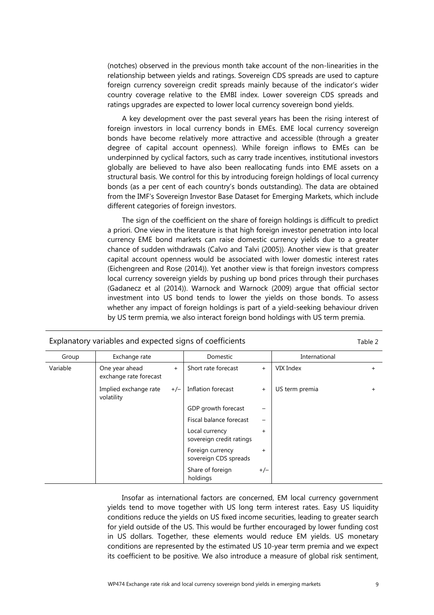(notches) observed in the previous month take account of the non-linearities in the relationship between yields and ratings. Sovereign CDS spreads are used to capture foreign currency sovereign credit spreads mainly because of the indicator's wider country coverage relative to the EMBI index. Lower sovereign CDS spreads and ratings upgrades are expected to lower local currency sovereign bond yields.

A key development over the past several years has been the rising interest of foreign investors in local currency bonds in EMEs. EME local currency sovereign bonds have become relatively more attractive and accessible (through a greater degree of capital account openness). While foreign inflows to EMEs can be underpinned by cyclical factors, such as carry trade incentives, institutional investors globally are believed to have also been reallocating funds into EME assets on a structural basis. We control for this by introducing foreign holdings of local currency bonds (as a per cent of each country's bonds outstanding). The data are obtained from the IMF's Sovereign Investor Base Dataset for Emerging Markets, which include different categories of foreign investors.

The sign of the coefficient on the share of foreign holdings is difficult to predict a priori. One view in the literature is that high foreign investor penetration into local currency EME bond markets can raise domestic currency yields due to a greater chance of sudden withdrawals (Calvo and Talvi (2005)). Another view is that greater capital account openness would be associated with lower domestic interest rates (Eichengreen and Rose (2014)). Yet another view is that foreign investors compress local currency sovereign yields by pushing up bond prices through their purchases (Gadanecz et al (2014)). Warnock and Warnock (2009) argue that official sector investment into US bond tends to lower the yields on those bonds. To assess whether any impact of foreign holdings is part of a yield-seeking behaviour driven by US term premia, we also interact foreign bond holdings with US term premia.

| Group    | Exchange rate                            |       | Domestic                                   |           | International  |     |
|----------|------------------------------------------|-------|--------------------------------------------|-----------|----------------|-----|
| Variable | One year ahead<br>exchange rate forecast | $+$   | Short rate forecast                        | $+$       | VIX Index      | $+$ |
|          | Implied exchange rate<br>volatility      | $+/-$ | Inflation forecast                         | $+$       | US term premia | $+$ |
|          |                                          |       | GDP growth forecast                        | -         |                |     |
|          |                                          |       | Fiscal balance forecast                    | -         |                |     |
|          |                                          |       | Local currency<br>sovereign credit ratings | $+$       |                |     |
|          |                                          |       | Foreign currency<br>sovereign CDS spreads  | $\ddot{}$ |                |     |
|          |                                          |       | Share of foreign<br>holdings               | $+/-$     |                |     |

Explanatory variables and expected signs of coefficients Table 2

Insofar as international factors are concerned, EM local currency government yields tend to move together with US long term interest rates. Easy US liquidity conditions reduce the yields on US fixed income securities, leading to greater search for yield outside of the US. This would be further encouraged by lower funding cost in US dollars. Together, these elements would reduce EM yields. US monetary conditions are represented by the estimated US 10-year term premia and we expect its coefficient to be positive. We also introduce a measure of global risk sentiment,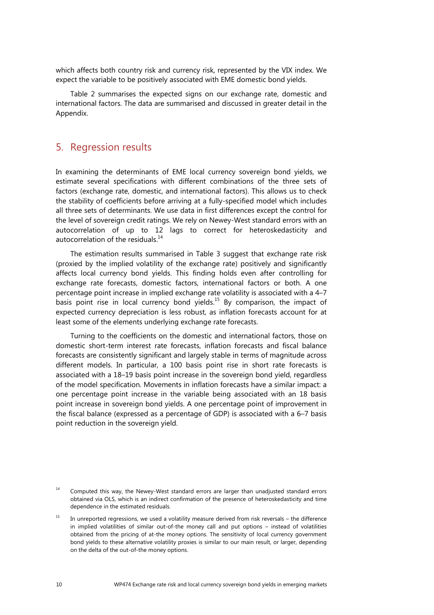which affects both country risk and currency risk, represented by the VIX index. We expect the variable to be positively associated with EME domestic bond yields.

Table 2 summarises the expected signs on our exchange rate, domestic and international factors. The data are summarised and discussed in greater detail in the Appendix.

## <span id="page-13-0"></span>5. Regression results

In examining the determinants of EME local currency sovereign bond yields, we estimate several specifications with different combinations of the three sets of factors (exchange rate, domestic, and international factors). This allows us to check the stability of coefficients before arriving at a fully-specified model which includes all three sets of determinants. We use data in first differences except the control for the level of sovereign credit ratings. We rely on Newey-West standard errors with an autocorrelation of up to 12 lags to correct for heteroskedasticity and autocorrelation of the residuals.<sup>14</sup>

The estimation results summarised in Table 3 suggest that exchange rate risk (proxied by the implied volatility of the exchange rate) positively and significantly affects local currency bond yields. This finding holds even after controlling for exchange rate forecasts, domestic factors, international factors or both. A one percentage point increase in implied exchange rate volatility is associated with a 4–7 basis point rise in local currency bond yields.<sup>15</sup> By comparison, the impact of expected currency depreciation is less robust, as inflation forecasts account for at least some of the elements underlying exchange rate forecasts.

Turning to the coefficients on the domestic and international factors, those on domestic short-term interest rate forecasts, inflation forecasts and fiscal balance forecasts are consistently significant and largely stable in terms of magnitude across different models. In particular, a 100 basis point rise in short rate forecasts is associated with a 18–19 basis point increase in the sovereign bond yield, regardless of the model specification. Movements in inflation forecasts have a similar impact: a one percentage point increase in the variable being associated with an 18 basis point increase in sovereign bond yields. A one percentage point of improvement in the fiscal balance (expressed as a percentage of GDP) is associated with a 6–7 basis point reduction in the sovereign yield.

<span id="page-13-2"></span><sup>&</sup>lt;sup>14</sup> Computed this way, the Newey-West standard errors are larger than unadjusted standard errors obtained via OLS, which is an indirect confirmation of the presence of heteroskedasticity and time dependence in the estimated residuals.

<span id="page-13-1"></span> $15$  In unreported regressions, we used a volatility measure derived from risk reversals – the difference in implied volatilities of similar out-of-the money call and put options – instead of volatilities obtained from the pricing of at-the money options. The sensitivity of local currency government bond yields to these alternative volatility proxies is similar to our main result, or larger, depending on the delta of the out-of-the money options.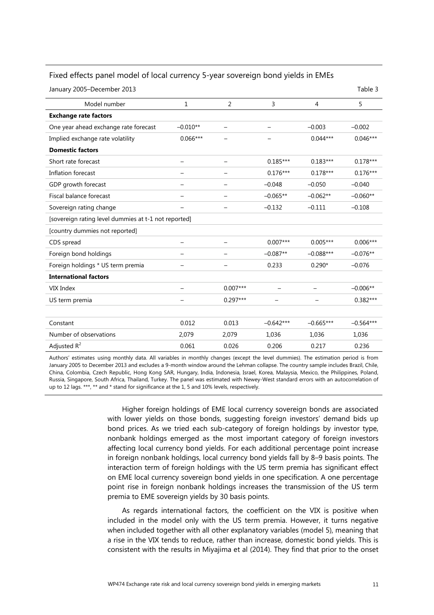| January 2005-December 2013                           |                   |            |             |                | Table 3     |
|------------------------------------------------------|-------------------|------------|-------------|----------------|-------------|
| Model number                                         | $\mathbf{1}$      | 2          | 3           | $\overline{4}$ | 5           |
| <b>Exchange rate factors</b>                         |                   |            |             |                |             |
| One year ahead exchange rate forecast                | $-0.010**$        |            |             | $-0.003$       | $-0.002$    |
| Implied exchange rate volatility                     | $0.066***$        |            |             | $0.044***$     | $0.046***$  |
| <b>Domestic factors</b>                              |                   |            |             |                |             |
| Short rate forecast                                  |                   |            | $0.185***$  | $0.183***$     | $0.178***$  |
| Inflation forecast                                   |                   |            | $0.176***$  | $0.178***$     | $0.176***$  |
| GDP growth forecast                                  | $\qquad \qquad -$ |            | $-0.048$    | $-0.050$       | $-0.040$    |
| Fiscal balance forecast                              | -                 |            | $-0.065**$  | $-0.062**$     | $-0.060**$  |
| Sovereign rating change                              |                   |            | $-0.132$    | $-0.111$       | $-0.108$    |
| [sovereign rating level dummies at t-1 not reported] |                   |            |             |                |             |
| [country dummies not reported]                       |                   |            |             |                |             |
| CDS spread                                           | —                 |            | $0.007***$  | $0.005***$     | $0.006***$  |
| Foreign bond holdings                                |                   |            | $-0.087**$  | $-0.088***$    | $-0.076**$  |
| Foreign holdings * US term premia                    |                   |            | 0.233       | $0.290*$       | $-0.076$    |
| <b>International factors</b>                         |                   |            |             |                |             |
| VIX Index                                            |                   | $0.007***$ |             |                | $-0.006**$  |
| US term premia                                       |                   | $0.297***$ |             |                | $0.382***$  |
|                                                      |                   |            |             |                |             |
| Constant                                             | 0.012             | 0.013      | $-0.642***$ | $-0.665***$    | $-0.564***$ |
| Number of observations                               | 2,079             | 2,079      | 1,036       | 1,036          | 1,036       |
| Adjusted $R^2$                                       | 0.061             | 0.026      | 0.206       | 0.217          | 0.236       |

#### Fixed effects panel model of local currency 5-year sovereign bond yields in EMEs

Authors' estimates using monthly data. All variables in monthly changes (except the level dummies). The estimation period is from January 2005 to December 2013 and excludes a 9-month window around the Lehman collapse. The country sample includes Brazil, Chile, China, Colombia, Czech Republic, Hong Kong SAR, Hungary, India, Indonesia, Israel, Korea, Malaysia, Mexico, the Philippines, Poland, Russia, Singapore, South Africa, Thailand, Turkey. The panel was estimated with Newey-West standard errors with an autocorrelation of up to 12 lags. \*\*\*, \*\* and \* stand for significance at the 1, 5 and 10% levels, respectively.

> Higher foreign holdings of EME local currency sovereign bonds are associated with lower yields on those bonds, suggesting foreign investors' demand bids up bond prices. As we tried each sub-category of foreign holdings by investor type, nonbank holdings emerged as the most important category of foreign investors affecting local currency bond yields. For each additional percentage point increase in foreign nonbank holdings, local currency bond yields fall by 8–9 basis points. The interaction term of foreign holdings with the US term premia has significant effect on EME local currency sovereign bond yields in one specification. A one percentage point rise in foreign nonbank holdings increases the transmission of the US term premia to EME sovereign yields by 30 basis points.

> As regards international factors, the coefficient on the VIX is positive when included in the model only with the US term premia. However, it turns negative when included together with all other explanatory variables (model 5), meaning that a rise in the VIX tends to reduce, rather than increase, domestic bond yields. This is consistent with the results in Miyajima et al (2014). They find that prior to the onset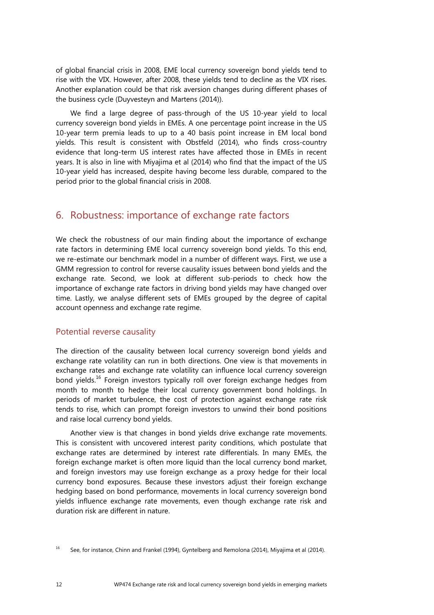of global financial crisis in 2008, EME local currency sovereign bond yields tend to rise with the VIX. However, after 2008, these yields tend to decline as the VIX rises. Another explanation could be that risk aversion changes during different phases of the business cycle (Duyvesteyn and Martens (2014)).

We find a large degree of pass-through of the US 10-year yield to local currency sovereign bond yields in EMEs. A one percentage point increase in the US 10-year term premia leads to up to a 40 basis point increase in EM local bond yields. This result is consistent with Obstfeld (2014), who finds cross-country evidence that long-term US interest rates have affected those in EMEs in recent years. It is also in line with Miyajima et al (2014) who find that the impact of the US 10-year yield has increased, despite having become less durable, compared to the period prior to the global financial crisis in 2008.

## <span id="page-15-1"></span>6. Robustness: importance of exchange rate factors

We check the robustness of our main finding about the importance of exchange rate factors in determining EME local currency sovereign bond yields. To this end, we re-estimate our benchmark model in a number of different ways. First, we use a GMM regression to control for reverse causality issues between bond yields and the exchange rate. Second, we look at different sub-periods to check how the importance of exchange rate factors in driving bond yields may have changed over time. Lastly, we analyse different sets of EMEs grouped by the degree of capital account openness and exchange rate regime.

#### <span id="page-15-0"></span>Potential reverse causality

The direction of the causality between local currency sovereign bond yields and exchange rate volatility can run in both directions. One view is that movements in exchange rates and exchange rate volatility can influence local currency sovereign bond yields.<sup>16</sup> Foreign investors typically roll over foreign exchange hedges from month to month to hedge their local currency government bond holdings. In periods of market turbulence, the cost of protection against exchange rate risk tends to rise, which can prompt foreign investors to unwind their bond positions and raise local currency bond yields.

Another view is that changes in bond yields drive exchange rate movements. This is consistent with uncovered interest parity conditions, which postulate that exchange rates are determined by interest rate differentials. In many EMEs, the foreign exchange market is often more liquid than the local currency bond market, and foreign investors may use foreign exchange as a proxy hedge for their local currency bond exposures. Because these investors adjust their foreign exchange hedging based on bond performance, movements in local currency sovereign bond yields influence exchange rate movements, even though exchange rate risk and duration risk are different in nature.

<span id="page-15-2"></span><sup>&</sup>lt;sup>16</sup> See, for instance, Chinn and Frankel (1994), Gyntelberg and Remolona (2014), Miyajima et al (2014).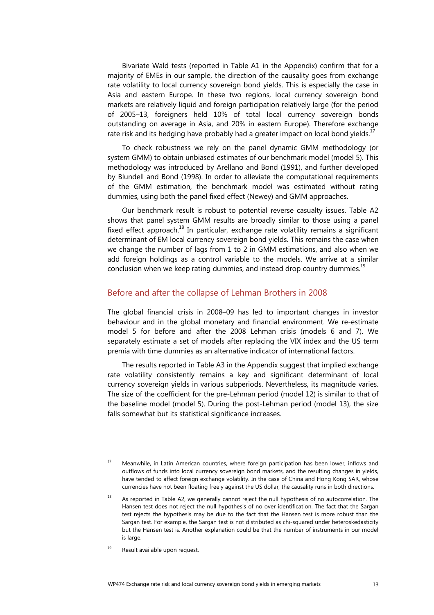Bivariate Wald tests (reported in Table A1 in the Appendix) confirm that for a majority of EMEs in our sample, the direction of the causality goes from exchange rate volatility to local currency sovereign bond yields. This is especially the case in Asia and eastern Europe. In these two regions, local currency sovereign bond markets are relatively liquid and foreign participation relatively large (for the period of 2005–13, foreigners held 10% of total local currency sovereign bonds outstanding on average in Asia, and 20% in eastern Europe). Therefore exchange rate risk and its hedging have probably had a greater impact on local bond yields. $^{17}$ 

To check robustness we rely on the panel dynamic GMM methodology (or system GMM) to obtain unbiased estimates of our benchmark model (model 5). This methodology was introduced by Arellano and Bond (1991), and further developed by Blundell and Bond (1998). In order to alleviate the computational requirements of the GMM estimation, the benchmark model was estimated without rating dummies, using both the panel fixed effect (Newey) and GMM approaches.

Our benchmark result is robust to potential reverse casualty issues. Table A2 shows that panel system GMM results are broadly similar to those using a panel fixed effect approach.<sup>18</sup> In particular, exchange rate volatility remains a significant determinant of EM local currency sovereign bond yields. This remains the case when we change the number of lags from 1 to 2 in GMM estimations, and also when we add foreign holdings as a control variable to the models. We arrive at a similar conclusion when we keep rating dummies, and instead drop country dummies.<sup>[19](#page-16-1)</sup>

#### <span id="page-16-0"></span>Before and after the collapse of Lehman Brothers in 2008

The global financial crisis in 2008–09 has led to important changes in investor behaviour and in the global monetary and financial environment. We re-estimate model 5 for before and after the 2008 Lehman crisis (models 6 and 7). We separately estimate a set of models after replacing the VIX index and the US term premia with time dummies as an alternative indicator of international factors.

The results reported in Table A3 in the Appendix suggest that implied exchange rate volatility consistently remains a key and significant determinant of local currency sovereign yields in various subperiods. Nevertheless, its magnitude varies. The size of the coefficient for the pre-Lehman period (model 12) is similar to that of the baseline model (model 5). During the post-Lehman period (model 13), the size falls somewhat but its statistical significance increases.

<span id="page-16-1"></span> $19$  Result available upon request.

<span id="page-16-3"></span><sup>&</sup>lt;sup>17</sup> Meanwhile, in Latin American countries, where foreign participation has been lower, inflows and outflows of funds into local currency sovereign bond markets, and the resulting changes in yields, have tended to affect foreign exchange volatility. In the case of China and Hong Kong SAR, whose currencies have not been floating freely against the US dollar, the causality runs in both directions.

<span id="page-16-2"></span> $18$  As reported in Table A2, we generally cannot reject the null hypothesis of no autocorrelation. The Hansen test does not reject the null hypothesis of no over identification. The fact that the Sargan test rejects the hypothesis may be due to the fact that the Hansen test is more robust than the Sargan test. For example, the Sargan test is not distributed as chi-squared under heteroskedasticity but the Hansen test is. Another explanation could be that the number of instruments in our model is large.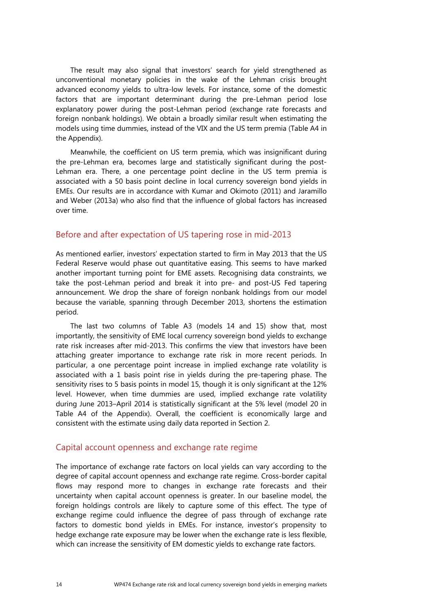The result may also signal that investors' search for yield strengthened as unconventional monetary policies in the wake of the Lehman crisis brought advanced economy yields to ultra-low levels. For instance, some of the domestic factors that are important determinant during the pre-Lehman period lose explanatory power during the post-Lehman period (exchange rate forecasts and foreign nonbank holdings). We obtain a broadly similar result when estimating the models using time dummies, instead of the VIX and the US term premia (Table A4 in the Appendix).

Meanwhile, the coefficient on US term premia, which was insignificant during the pre-Lehman era, becomes large and statistically significant during the post-Lehman era. There, a one percentage point decline in the US term premia is associated with a 50 basis point decline in local currency sovereign bond yields in EMEs. Our results are in accordance with Kumar and Okimoto (2011) and Jaramillo and Weber (2013a) who also find that the influence of global factors has increased over time.

#### <span id="page-17-1"></span>Before and after expectation of US tapering rose in mid-2013

As mentioned earlier, investors' expectation started to firm in May 2013 that the US Federal Reserve would phase out quantitative easing. This seems to have marked another important turning point for EME assets. Recognising data constraints, we take the post-Lehman period and break it into pre- and post-US Fed tapering announcement. We drop the share of foreign nonbank holdings from our model because the variable, spanning through December 2013, shortens the estimation period.

The last two columns of Table A3 (models 14 and 15) show that, most importantly, the sensitivity of EME local currency sovereign bond yields to exchange rate risk increases after mid-2013. This confirms the view that investors have been attaching greater importance to exchange rate risk in more recent periods. In particular, a one percentage point increase in implied exchange rate volatility is associated with a 1 basis point rise in yields during the pre-tapering phase. The sensitivity rises to 5 basis points in model 15, though it is only significant at the 12% level. However, when time dummies are used, implied exchange rate volatility during June 2013–April 2014 is statistically significant at the 5% level (model 20 in Table A4 of the Appendix). Overall, the coefficient is economically large and consistent with the estimate using daily data reported in Section 2.

#### <span id="page-17-0"></span>Capital account openness and exchange rate regime

The importance of exchange rate factors on local yields can vary according to the degree of capital account openness and exchange rate regime. Cross-border capital flows may respond more to changes in exchange rate forecasts and their uncertainty when capital account openness is greater. In our baseline model, the foreign holdings controls are likely to capture some of this effect. The type of exchange regime could influence the degree of pass through of exchange rate factors to domestic bond yields in EMEs. For instance, investor's propensity to hedge exchange rate exposure may be lower when the exchange rate is less flexible, which can increase the sensitivity of EM domestic yields to exchange rate factors.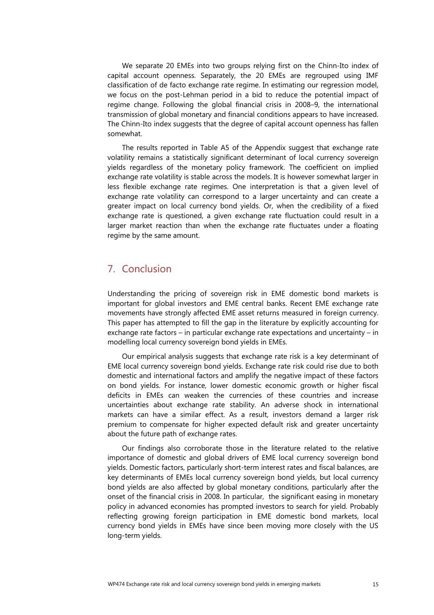We separate 20 EMEs into two groups relying first on the Chinn-Ito index of capital account openness. Separately, the 20 EMEs are regrouped using IMF classification of de facto exchange rate regime. In estimating our regression model, we focus on the post-Lehman period in a bid to reduce the potential impact of regime change. Following the global financial crisis in 2008–9, the international transmission of global monetary and financial conditions appears to have increased. The Chinn-Ito index suggests that the degree of capital account openness has fallen somewhat.

The results reported in Table A5 of the Appendix suggest that exchange rate volatility remains a statistically significant determinant of local currency sovereign yields regardless of the monetary policy framework. The coefficient on implied exchange rate volatility is stable across the models. It is however somewhat larger in less flexible exchange rate regimes. One interpretation is that a given level of exchange rate volatility can correspond to a larger uncertainty and can create a greater impact on local currency bond yields. Or, when the credibility of a fixed exchange rate is questioned, a given exchange rate fluctuation could result in a larger market reaction than when the exchange rate fluctuates under a floating regime by the same amount.

## <span id="page-18-0"></span>7. Conclusion

Understanding the pricing of sovereign risk in EME domestic bond markets is important for global investors and EME central banks. Recent EME exchange rate movements have strongly affected EME asset returns measured in foreign currency. This paper has attempted to fill the gap in the literature by explicitly accounting for exchange rate factors – in particular exchange rate expectations and uncertainty – in modelling local currency sovereign bond yields in EMEs.

Our empirical analysis suggests that exchange rate risk is a key determinant of EME local currency sovereign bond yields. Exchange rate risk could rise due to both domestic and international factors and amplify the negative impact of these factors on bond yields. For instance, lower domestic economic growth or higher fiscal deficits in EMEs can weaken the currencies of these countries and increase uncertainties about exchange rate stability. An adverse shock in international markets can have a similar effect. As a result, investors demand a larger risk premium to compensate for higher expected default risk and greater uncertainty about the future path of exchange rates.

Our findings also corroborate those in the literature related to the relative importance of domestic and global drivers of EME local currency sovereign bond yields. Domestic factors, particularly short-term interest rates and fiscal balances, are key determinants of EMEs local currency sovereign bond yields, but local currency bond yields are also affected by global monetary conditions, particularly after the onset of the financial crisis in 2008. In particular, the significant easing in monetary policy in advanced economies has prompted investors to search for yield. Probably reflecting growing foreign participation in EME domestic bond markets, local currency bond yields in EMEs have since been moving more closely with the US long-term yields.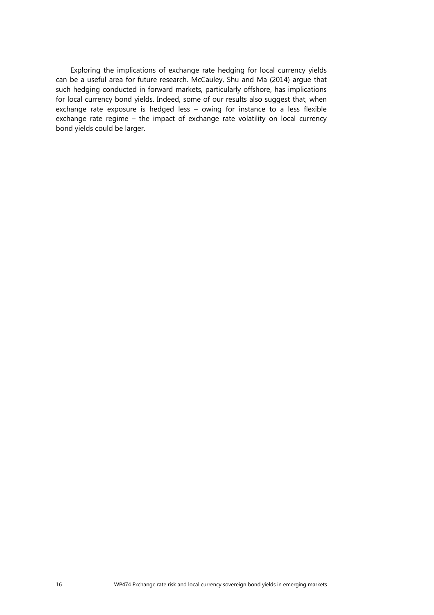Exploring the implications of exchange rate hedging for local currency yields can be a useful area for future research. McCauley, Shu and Ma (2014) argue that such hedging conducted in forward markets, particularly offshore, has implications for local currency bond yields. Indeed, some of our results also suggest that, when exchange rate exposure is hedged less – owing for instance to a less flexible exchange rate regime – the impact of exchange rate volatility on local currency bond yields could be larger.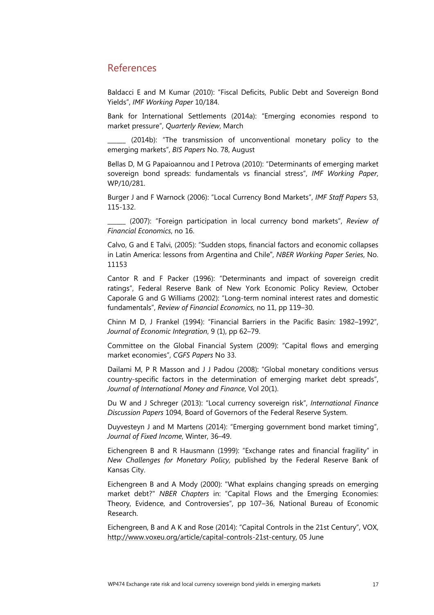## <span id="page-20-0"></span>References

Baldacci E and M Kumar (2010): "Fiscal Deficits, Public Debt and Sovereign Bond Yields", *IMF Working Paper* 10/184.

Bank for International Settlements (2014a): "Emerging economies respond to market pressure", *Quarterly Review*, March

(2014b): "The transmission of unconventional monetary policy to the emerging markets", *BIS Papers* No. 78, August

Bellas D, M G Papaioannou and I Petrova (2010): "Determinants of emerging market sovereign bond spreads: fundamentals vs financial stress", *IMF Working Paper*, WP/10/281.

Burger J and F Warnock (2006): "Local Currency Bond Markets", *IMF Staff Papers* 53, 115-132.

\_\_\_\_\_\_ (2007): "Foreign participation in local currency bond markets", *Review of Financial Economics*, no 16.

Calvo, G and E Talvi, (2005): "Sudden stops, financial factors and economic collapses in Latin America: lessons from Argentina and Chile", *NBER Working Paper Series*, No. 11153

Cantor R and F Packer (1996): "Determinants and impact of sovereign credit ratings", Federal Reserve Bank of New York Economic Policy Review, October Caporale G and G Williams (2002): "Long-term nominal interest rates and domestic fundamentals", *Review of Financial Economics*, no 11, pp 119–30.

Chinn M D, J Frankel (1994): "Financial Barriers in the Pacific Basin: 1982–1992", *Journal of Economic Integration*, 9 (1), pp 62–79.

Committee on the Global Financial System (2009): "Capital flows and emerging market economies", *CGFS Papers* No 33.

Dailami M, P R Masson and J J Padou (2008): "Global monetary conditions versus country-specific factors in the determination of emerging market debt spreads", *Journal of International Money and Finance*, Vol 20(1).

Du W and J Schreger (2013): "Local currency sovereign risk", *International Finance Discussion Papers* 1094, Board of Governors of the Federal Reserve System.

Duyvesteyn J and M Martens (2014): "Emerging government bond market timing", *Journal of Fixed Income*, Winter, 36–49.

Eichengreen B and R Hausmann (1999): "Exchange rates and financial fragility" in *New Challenges for Monetary Policy,* published by the Federal Reserve Bank of Kansas City.

Eichengreen B and A Mody (2000): "What explains changing spreads on emerging market debt?" *NBER Chapters* in: "Capital Flows and the Emerging Economies: Theory, Evidence, and Controversies", pp 107–36, National Bureau of Economic Research.

Eichengreen, B and A K and Rose (2014): "Capital Controls in the 21st Century", VOX, [http://www.voxeu.org/article/capital-controls-21st-century,](http://www.voxeu.org/article/capital-controls-21st-century) 05 June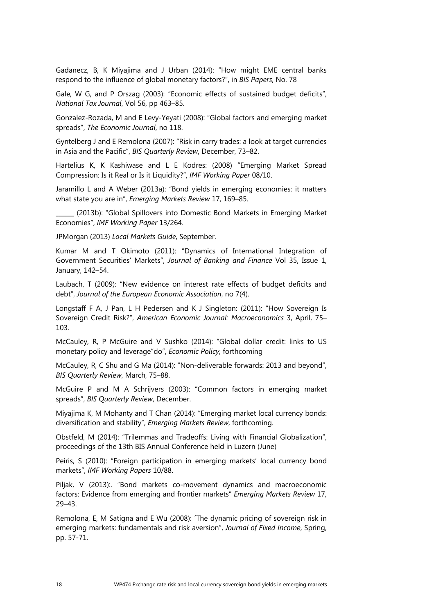Gadanecz, B, K Miyajima and J Urban (2014): "How might EME central banks respond to the influence of global monetary factors?", in *BIS Papers*, No. 78

Gale, W G, and P Orszag (2003): "Economic effects of sustained budget deficits", *National Tax Journal*, Vol 56, pp 463–85.

Gonzalez-Rozada, M and E Levy-Yeyati (2008): "Global factors and emerging market spreads", *The Economic Journal*, no 118.

Gyntelberg J and E Remolona (2007): "Risk in carry trades: a look at target currencies in Asia and the Pacific", *BIS Quarterly Review*, December, 73–82.

Hartelius K, K Kashiwase and L E Kodres: (2008) "Emerging Market Spread Compression: Is it Real or Is it Liquidity?", *IMF Working Paper* 08/10.

Jaramillo L and A Weber (2013a): "Bond yields in emerging economies: it matters what state you are in", *Emerging Markets Review* 17, 169–85.

(2013b): "Global Spillovers into Domestic Bond Markets in Emerging Market Economies", *IMF Working Paper* 13/264.

JPMorgan (2013) *Local Markets Guide*, September.

Kumar M and T Okimoto (2011): "Dynamics of International Integration of Government Securities' Markets", *Journal of Banking and Finance* Vol 35, Issue 1, January, 142–54.

Laubach, T (2009): "New evidence on interest rate effects of budget deficits and debt", *Journal of the European Economic Association*, no 7(4).

Longstaff F A, J Pan, L H Pedersen and K J Singleton: (2011): "How Sovereign Is Sovereign Credit Risk?", *American Economic Journal: Macroeconomics* 3, April, 75– 103.

McCauley, R, P McGuire and V Sushko (2014): "Global dollar credit: links to US monetary policy and leverage"do", *Economic Policy,* forthcoming

McCauley, R, C Shu and G Ma (2014): "Non-deliverable forwards: 2013 and beyond", *BIS Quarterly Review*, March, 75–88.

McGuire P and M A Schrijvers (2003): "Common factors in emerging market spreads", *BIS Quarterly Review*, December.

Miyajima K, M Mohanty and T Chan (2014): "Emerging market local currency bonds: diversification and stability", *Emerging Markets Review*, forthcoming.

Obstfeld, M (2014): "Trilemmas and Tradeoffs: Living with Financial Globalization", proceedings of the 13th BIS Annual Conference held in Luzern (June)

Peiris, S (2010): "Foreign participation in emerging markets' local currency bond markets", *IMF Working Papers* 10/88.

Piljak, V (2013):. "Bond markets co-movement dynamics and macroeconomic factors: Evidence from emerging and frontier markets" *Emerging Markets Review* 17, 29–43.

Remolona, E, M Satigna and E Wu (2008): ´The dynamic pricing of sovereign risk in emerging markets: fundamentals and risk aversion", *Journal of Fixed Income*, Spring, pp. 57-71.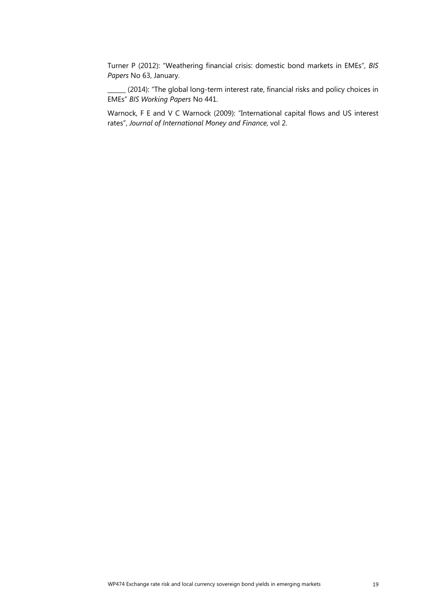Turner P (2012): "Weathering financial crisis: domestic bond markets in EMEs", *BIS Papers* No 63, January.

\_\_\_\_\_\_ (2014): "The global long-term interest rate, financial risks and policy choices in EMEs" *BIS Working Papers* No 441.

Warnock, F E and V C Warnock (2009): "International capital flows and US interest rates", *Journal of International Money and Finance*, vol 2.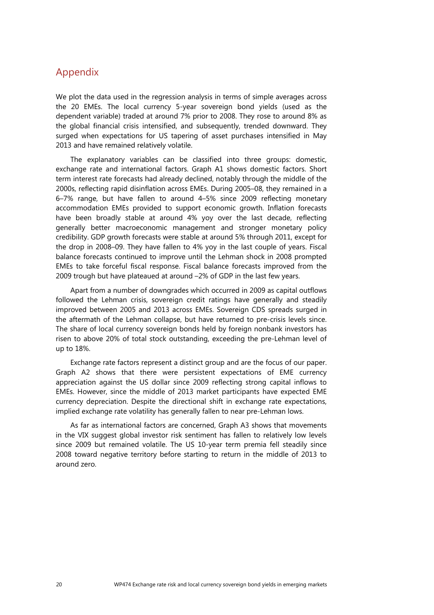## <span id="page-23-0"></span>Appendix

We plot the data used in the regression analysis in terms of simple averages across the 20 EMEs. The local currency 5-year sovereign bond yields (used as the dependent variable) traded at around 7% prior to 2008. They rose to around 8% as the global financial crisis intensified, and subsequently, trended downward. They surged when expectations for US tapering of asset purchases intensified in May 2013 and have remained relatively volatile.

The explanatory variables can be classified into three groups: domestic, exchange rate and international factors. Graph A1 shows domestic factors. Short term interest rate forecasts had already declined, notably through the middle of the 2000s, reflecting rapid disinflation across EMEs. During 2005–08, they remained in a 6–7% range, but have fallen to around 4–5% since 2009 reflecting monetary accommodation EMEs provided to support economic growth. Inflation forecasts have been broadly stable at around 4% yoy over the last decade, reflecting generally better macroeconomic management and stronger monetary policy credibility. GDP growth forecasts were stable at around 5% through 2011, except for the drop in 2008–09. They have fallen to 4% yoy in the last couple of years. Fiscal balance forecasts continued to improve until the Lehman shock in 2008 prompted EMEs to take forceful fiscal response. Fiscal balance forecasts improved from the 2009 trough but have plateaued at around –2% of GDP in the last few years.

Apart from a number of downgrades which occurred in 2009 as capital outflows followed the Lehman crisis, sovereign credit ratings have generally and steadily improved between 2005 and 2013 across EMEs. Sovereign CDS spreads surged in the aftermath of the Lehman collapse, but have returned to pre-crisis levels since. The share of local currency sovereign bonds held by foreign nonbank investors has risen to above 20% of total stock outstanding, exceeding the pre-Lehman level of up to 18%.

Exchange rate factors represent a distinct group and are the focus of our paper. Graph A2 shows that there were persistent expectations of EME currency appreciation against the US dollar since 2009 reflecting strong capital inflows to EMEs. However, since the middle of 2013 market participants have expected EME currency depreciation. Despite the directional shift in exchange rate expectations, implied exchange rate volatility has generally fallen to near pre-Lehman lows.

As far as international factors are concerned, Graph A3 shows that movements in the VIX suggest global investor risk sentiment has fallen to relatively low levels since 2009 but remained volatile. The US 10-year term premia fell steadily since 2008 toward negative territory before starting to return in the middle of 2013 to around zero.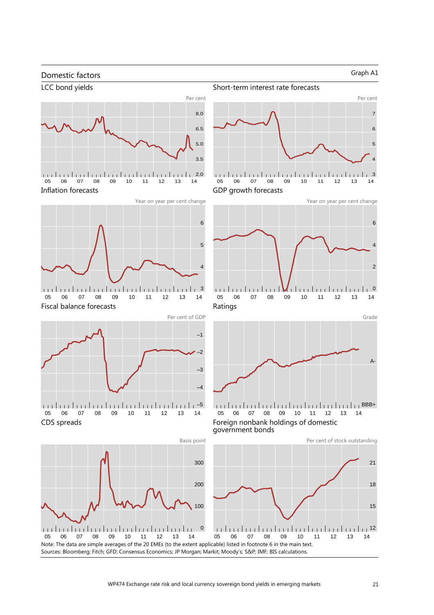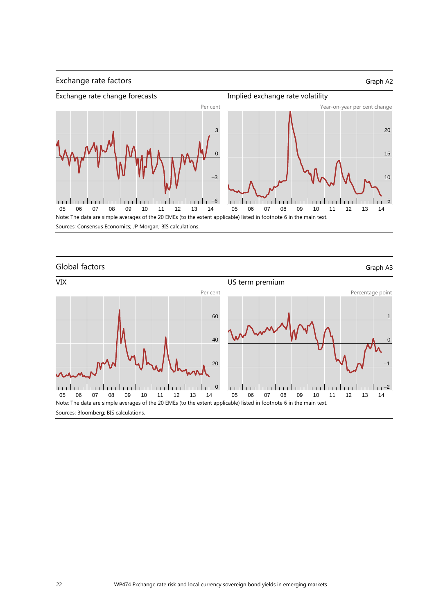

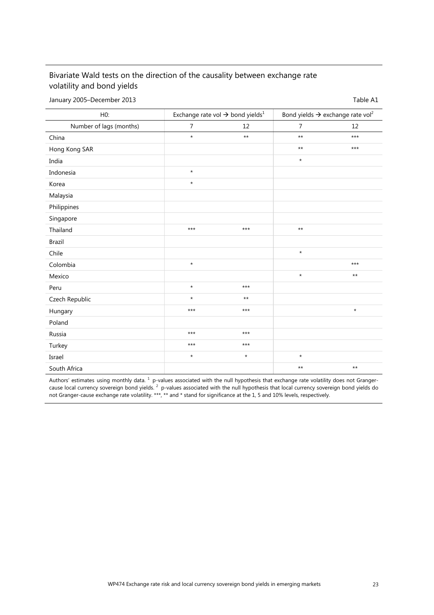## Bivariate Wald tests on the direction of the causality between exchange rate volatility and bond yields

January 2005–December 2013 and the state of the state of the San Table A1

| H0:                     |                | Exchange rate vol $\rightarrow$ bond yields <sup>1</sup> | Bond yields $\rightarrow$ exchange rate vol <sup>2</sup> |         |  |
|-------------------------|----------------|----------------------------------------------------------|----------------------------------------------------------|---------|--|
| Number of lags (months) | $\overline{7}$ | 12                                                       | $\overline{7}$                                           | 12      |  |
| China                   | $\star$        | $**$                                                     | $***$                                                    | $***$   |  |
| Hong Kong SAR           |                |                                                          | $***$                                                    | $***$   |  |
| India                   |                |                                                          | $\star$                                                  |         |  |
| Indonesia               | $\star$        |                                                          |                                                          |         |  |
| Korea                   | $\star$        |                                                          |                                                          |         |  |
| Malaysia                |                |                                                          |                                                          |         |  |
| Philippines             |                |                                                          |                                                          |         |  |
| Singapore               |                |                                                          |                                                          |         |  |
| Thailand                | $***$          | $***$                                                    | $***$                                                    |         |  |
| <b>Brazil</b>           |                |                                                          |                                                          |         |  |
| Chile                   |                |                                                          | $\star$                                                  |         |  |
| Colombia                | $\star$        |                                                          |                                                          | $***$   |  |
| Mexico                  |                |                                                          | $\star$                                                  | $***$   |  |
| Peru                    | $\star$        | $***$                                                    |                                                          |         |  |
| Czech Republic          | $\star$        | $***$                                                    |                                                          |         |  |
| Hungary                 | $***$          | $***$                                                    |                                                          | $\star$ |  |
| Poland                  |                |                                                          |                                                          |         |  |
| Russia                  | $***$          | $***$                                                    |                                                          |         |  |
| Turkey                  | $***$          | $***$                                                    |                                                          |         |  |
| Israel                  | $\star$        | $\star$                                                  | $\star$                                                  |         |  |
| South Africa            |                |                                                          | $***$                                                    | $***$   |  |

Authors' estimates using monthly data.  $1$  p-values associated with the null hypothesis that exchange rate volatility does not Grangercause local currency sovereign bond yields. <sup>2</sup> p-values associated with the null hypothesis that local currency sovereign bond yields do not Granger-cause exchange rate volatility. \*\*\*, \*\* and \* stand for significance at the 1, 5 and 10% levels, respectively.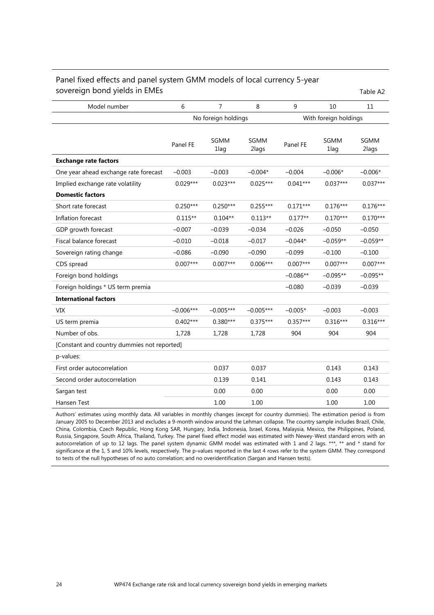#### Panel fixed effects and panel system GMM models of local currency 5-year sovereign bond yields in EMEs Table A2

| Model number                                | 6           | 7                   | 8             | 9                     | 10           | 11            |
|---------------------------------------------|-------------|---------------------|---------------|-----------------------|--------------|---------------|
|                                             |             | No foreign holdings |               | With foreign holdings |              |               |
|                                             |             |                     |               |                       |              |               |
|                                             | Panel FE    | SGMM<br>1lag        | SGMM<br>2lags | Panel FE              | SGMM<br>1lag | SGMM<br>2lags |
| <b>Exchange rate factors</b>                |             |                     |               |                       |              |               |
| One year ahead exchange rate forecast       | $-0.003$    | $-0.003$            | $-0.004*$     | $-0.004$              | $-0.006*$    | $-0.006*$     |
| Implied exchange rate volatility            | $0.029***$  | $0.023***$          | $0.025***$    | $0.041***$            | $0.037***$   | $0.037***$    |
| <b>Domestic factors</b>                     |             |                     |               |                       |              |               |
| Short rate forecast                         | $0.250***$  | $0.250***$          | $0.255***$    | $0.171***$            | $0.176***$   | $0.176***$    |
| Inflation forecast                          | $0.115**$   | $0.104**$           | $0.113**$     | $0.177**$             | $0.170***$   | $0.170***$    |
| GDP growth forecast                         | $-0.007$    | $-0.039$            | $-0.034$      | $-0.026$              | $-0.050$     | $-0.050$      |
| Fiscal balance forecast                     | $-0.010$    | $-0.018$            | $-0.017$      | $-0.044*$             | $-0.059**$   | $-0.059**$    |
| Sovereign rating change                     | $-0.086$    | $-0.090$            | $-0.090$      | $-0.099$              | $-0.100$     | $-0.100$      |
| CDS spread                                  | $0.007***$  | $0.007***$          | $0.006***$    | $0.007***$            | $0.007***$   | $0.007***$    |
| Foreign bond holdings                       |             |                     |               | $-0.086**$            | $-0.095**$   | $-0.095**$    |
| Foreign holdings * US term premia           |             |                     |               | $-0.080$              | $-0.039$     | $-0.039$      |
| <b>International factors</b>                |             |                     |               |                       |              |               |
| <b>VIX</b>                                  | $-0.006***$ | $-0.005***$         | $-0.005***$   | $-0.005*$             | $-0.003$     | $-0.003$      |
| US term premia                              | $0.402***$  | $0.380***$          | $0.375***$    | $0.357***$            | $0.316***$   | $0.316***$    |
| Number of obs.                              | 1,728       | 1,728               | 1,728         | 904                   | 904          | 904           |
| [Constant and country dummies not reported] |             |                     |               |                       |              |               |
| p-values:                                   |             |                     |               |                       |              |               |
| First order autocorrelation                 |             | 0.037               | 0.037         |                       | 0.143        | 0.143         |
| Second order autocorrelation                |             | 0.139               | 0.141         |                       | 0.143        | 0.143         |
| Sargan test                                 |             | 0.00                | 0.00          |                       | 0.00         | 0.00          |
| Hansen Test                                 |             | 1.00                | 1.00          |                       | 1.00         | 1.00          |

Authors' estimates using monthly data. All variables in monthly changes (except for country dummies). The estimation period is from January 2005 to December 2013 and excludes a 9-month window around the Lehman collapse. The country sample includes Brazil, Chile, China, Colombia, Czech Republic, Hong Kong SAR, Hungary, India, Indonesia, Israel, Korea, Malaysia, Mexico, the Philippines, Poland, Russia, Singapore, South Africa, Thailand, Turkey. The panel fixed effect model was estimated with Newey-West standard errors with an autocorrelation of up to 12 lags. The panel system dynamic GMM model was estimated with 1 and 2 lags. \*\*\*, \*\* and \* stand for significance at the 1, 5 and 10% levels, respectively. The p-values reported in the last 4 rows refer to the system GMM. They correspond to tests of the null hypotheses of no auto correlation; and no overidentification (Sargan and Hansen tests).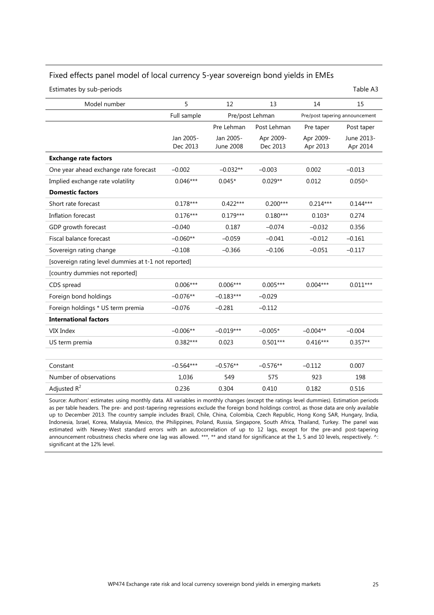#### Fixed effects panel model of local currency 5-year sovereign bond yields in EMEs

Estimates by sub-periods Table A3

| Model number                                         | 5           | 12          | 13              | 14         | 15                             |  |  |  |
|------------------------------------------------------|-------------|-------------|-----------------|------------|--------------------------------|--|--|--|
|                                                      | Full sample |             | Pre/post Lehman |            | Pre/post tapering announcement |  |  |  |
|                                                      |             | Pre Lehman  | Post Lehman     | Pre taper  | Post taper                     |  |  |  |
|                                                      | Jan 2005-   | Jan 2005-   | Apr 2009-       | Apr 2009-  | June 2013-                     |  |  |  |
|                                                      | Dec 2013    | June 2008   | Dec 2013        | Apr 2013   | Apr 2014                       |  |  |  |
| <b>Exchange rate factors</b>                         |             |             |                 |            |                                |  |  |  |
| One year ahead exchange rate forecast                | $-0.002$    | $-0.032**$  | $-0.003$        | 0.002      | $-0.013$                       |  |  |  |
| Implied exchange rate volatility                     | $0.046***$  | $0.045*$    | $0.029**$       | 0.012      | $0.050^{\circ}$                |  |  |  |
| <b>Domestic factors</b>                              |             |             |                 |            |                                |  |  |  |
| Short rate forecast                                  | $0.178***$  | $0.422***$  | $0.200***$      | $0.214***$ | $0.144***$                     |  |  |  |
| Inflation forecast                                   | $0.176***$  | $0.179***$  | $0.180***$      | $0.103*$   | 0.274                          |  |  |  |
| GDP growth forecast                                  | $-0.040$    | 0.187       | $-0.074$        | $-0.032$   | 0.356                          |  |  |  |
| Fiscal balance forecast                              | $-0.060**$  | $-0.059$    | $-0.041$        | $-0.012$   | $-0.161$                       |  |  |  |
| Sovereign rating change                              | $-0.108$    | $-0.366$    | $-0.106$        | $-0.051$   | $-0.117$                       |  |  |  |
| [sovereign rating level dummies at t-1 not reported] |             |             |                 |            |                                |  |  |  |
| [country dummies not reported]                       |             |             |                 |            |                                |  |  |  |
| CDS spread                                           | $0.006***$  | $0.006***$  | $0.005***$      | $0.004***$ | $0.011***$                     |  |  |  |
| Foreign bond holdings                                | $-0.076**$  | $-0.183***$ | $-0.029$        |            |                                |  |  |  |
| Foreign holdings * US term premia                    | $-0.076$    | $-0.281$    | $-0.112$        |            |                                |  |  |  |
| <b>International factors</b>                         |             |             |                 |            |                                |  |  |  |
| VIX Index                                            | $-0.006**$  | $-0.019***$ | $-0.005*$       | $-0.004**$ | $-0.004$                       |  |  |  |
| US term premia                                       | $0.382***$  | 0.023       | $0.501***$      | $0.416***$ | $0.357**$                      |  |  |  |
|                                                      |             |             |                 |            |                                |  |  |  |
| Constant                                             | $-0.564***$ | $-0.576**$  | $-0.576**$      | $-0.112$   | 0.007                          |  |  |  |
| Number of observations                               | 1,036       | 549         | 575             | 923        | 198                            |  |  |  |
| Adjusted $R^2$                                       | 0.236       | 0.304       | 0.410           | 0.182      | 0.516                          |  |  |  |

Source: Authors' estimates using monthly data. All variables in monthly changes (except the ratings level dummies). Estimation periods as per table headers. The pre- and post-tapering regressions exclude the foreign bond holdings control, as those data are only available up to December 2013. The country sample includes Brazil, Chile, China, Colombia, Czech Republic, Hong Kong SAR, Hungary, India, Indonesia, Israel, Korea, Malaysia, Mexico, the Philippines, Poland, Russia, Singapore, South Africa, Thailand, Turkey. The panel was estimated with Newey-West standard errors with an autocorrelation of up to 12 lags, except for the pre-and post-tapering announcement robustness checks where one lag was allowed. \*\*\*, \*\* and stand for significance at the 1, 5 and 10 levels, respectively. ^: significant at the 12% level.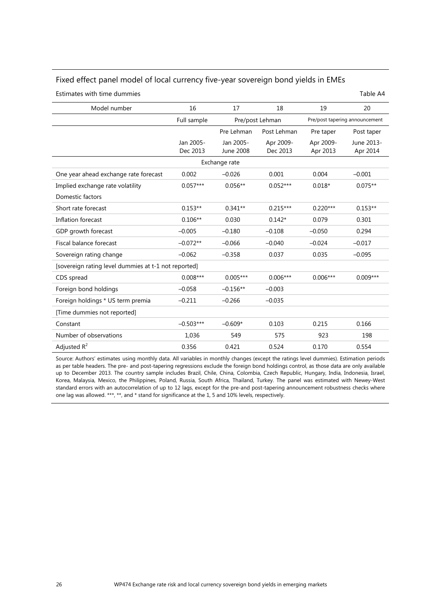#### Fixed effect panel model of local currency five-year sovereign bond yields in EMEs

Estimates with time dummies Table A4

| Model number                                         | 16                    | 17                     | 18                    | 19                    | 20                             |  |  |  |
|------------------------------------------------------|-----------------------|------------------------|-----------------------|-----------------------|--------------------------------|--|--|--|
|                                                      | Full sample           |                        | Pre/post Lehman       |                       | Pre/post tapering announcement |  |  |  |
|                                                      |                       | Pre Lehman             | Post Lehman           | Pre taper             | Post taper                     |  |  |  |
|                                                      | Jan 2005-<br>Dec 2013 | Jan 2005-<br>June 2008 | Apr 2009-<br>Dec 2013 | Apr 2009-<br>Apr 2013 | June 2013-<br>Apr 2014         |  |  |  |
|                                                      |                       | Exchange rate          |                       |                       |                                |  |  |  |
| One year ahead exchange rate forecast                | 0.002                 | $-0.026$               | 0.001                 | 0.004                 | $-0.001$                       |  |  |  |
| Implied exchange rate volatility                     | $0.057***$            | $0.056**$              | $0.052***$            | $0.018*$              | $0.075**$                      |  |  |  |
| Domestic factors                                     |                       |                        |                       |                       |                                |  |  |  |
| Short rate forecast                                  | $0.153**$             | $0.341**$              | $0.215***$            | $0.220***$            | $0.153**$                      |  |  |  |
| Inflation forecast                                   | $0.106**$             | 0.030                  | $0.142*$              | 0.079                 | 0.301                          |  |  |  |
| GDP growth forecast                                  | $-0.005$              | $-0.180$               | $-0.108$              | $-0.050$              | 0.294                          |  |  |  |
| Fiscal balance forecast                              | $-0.072**$            | $-0.066$               | $-0.040$              | $-0.024$              | $-0.017$                       |  |  |  |
| Sovereign rating change                              | $-0.062$              | $-0.358$               | 0.037                 | 0.035                 | $-0.095$                       |  |  |  |
| [sovereign rating level dummies at t-1 not reported] |                       |                        |                       |                       |                                |  |  |  |
| CDS spread                                           | $0.008***$            | $0.005***$             | $0.006***$            | $0.006***$            | $0.009***$                     |  |  |  |
| Foreign bond holdings                                | $-0.058$              | $-0.156**$             | $-0.003$              |                       |                                |  |  |  |
| Foreign holdings * US term premia                    | $-0.211$              | $-0.266$               | $-0.035$              |                       |                                |  |  |  |
| [Time dummies not reported]                          |                       |                        |                       |                       |                                |  |  |  |
| Constant                                             | $-0.503***$           | $-0.609*$              | 0.103                 | 0.215                 | 0.166                          |  |  |  |
| Number of observations                               | 1,036                 | 549                    | 575                   | 923                   | 198                            |  |  |  |
| Adjusted $R^2$                                       | 0.356                 | 0.421                  | 0.524                 | 0.170                 | 0.554                          |  |  |  |

Source: Authors' estimates using monthly data. All variables in monthly changes (except the ratings level dummies). Estimation periods as per table headers. The pre- and post-tapering regressions exclude the foreign bond holdings control, as those data are only available up to December 2013. The country sample includes Brazil, Chile, China, Colombia, Czech Republic, Hungary, India, Indonesia, Israel, Korea, Malaysia, Mexico, the Philippines, Poland, Russia, South Africa, Thailand, Turkey. The panel was estimated with Newey-West standard errors with an autocorrelation of up to 12 lags, except for the pre-and post-tapering announcement robustness checks where one lag was allowed. \*\*\*, \*\*, and \* stand for significance at the 1, 5 and 10% levels, respectively.